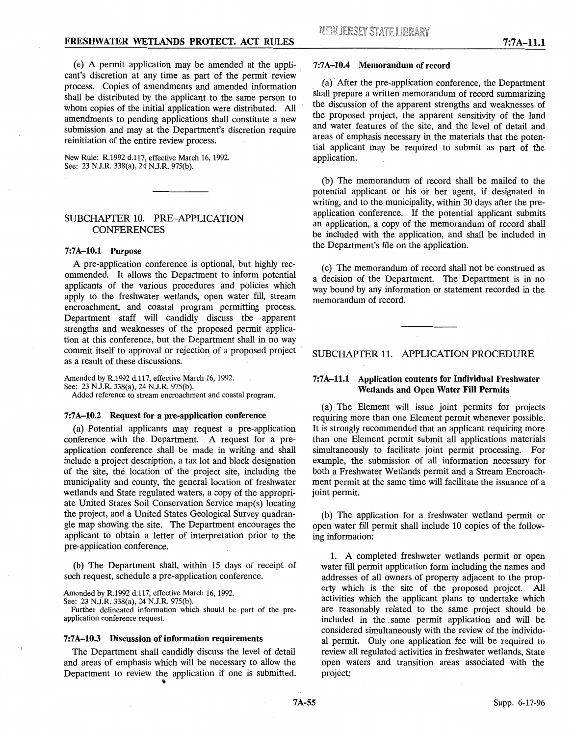(e) A permit application may be amended at the appli- . cant's discretion at any time as part of the permit review process. Copies of amendments and amended information shall be distributed by the applicant to the same person to whom copies of the initial application were distributed. All amendments to pending applications shall constitute a new submission and may at the Department's discretion require reinitiation of the entire review process.

New Rule: R.1992 d.117, effective March 16, 1992. See: 23 N.J.R. 338(a), 24 N.J.R. 975(b).

# SUBCHAPTER 10. PRE-APPLICATION **CONFERENCES**

## **7:7A-10.1 Purpose**

A pre-application conference is optional, but highly recommended. It allows the Department to inform potential applicants of the various procedures and policies which apply to the freshwater wetlands, open water fill, stream encroachment, and coastal program permitting process. Department staff will candidly discuss the apparent strengths and weaknesses of the proposed permit application at this conference, but the Department shall in no way commit itself to approval or rejection of a proposed project as a result of these discussions.

Amended by R.1992 d.117, effective March 16, 1992. See: 23 N.J.R. 338(a), 24 N.J.R. 975(b). Added reference to stream encroachment and coastal program.

#### **7:7A-10.2 Request for a pre-application conference**

(a) Potential applicants may request a pre-application conference with the Department. A request for a preapplication conference shall be made in writing and shall include a project description, a tax lot and block designation of the site, the location of the project site, including the municipality and county, the general location of freshwater wetlands and State regulated waters, a copy of the appropriate United States Soil Conservation Service map(s) locating the project, and a United States Geological Survey quadrangle map showing the site. The Department encourages the applicant to obtain a letter of interpretation prior to the pre-application conference.

(b) The Department shall, within 15 days of receipt of such request, schedule a pre-application conference.

Amended by R.1992 d.117, effective March 16, 1992.

See: 23 N.J.R. 338(a), 24 N.J.R. 975(b).

 $\cdot$  |

Further delineated information which should be part of the preapplication conference request.

#### **7:7 A-10.3 Discussion of information requirements**

The Department shall candidly discuss the level of detail and areas of emphasis which will be necessary to allow the Department to review the application if one is submitted.

#### **7:7A-10.4 Memorandum of record**

(a)' After the pre-application conference, the Department shall prepare a written memorandum of record summarizing the discussion of the apparent strengths and weaknesses of the proposed project, the apparent sensitivity of the land and water features of the site, and the level of detail and areas of emphasis necessary in the materials that the potential applicant may be required to submit as part of the application.

(b) The memorandum of record shall be mailed to the potential applicant or his or her agent, if designated in writing, and to the municipality, within 30 days after the preapplication conference. If the potential applicant submits an application, a copy of the memorandum of record shall be included with the application, and shall be included in the Department's file on the application.

(c) The memorandum of record shall not be construed as a decision of the Department. The Department is in no way bound by any information or statement recorded in the memorandum of record.

SUBCHAPTER 11. APPLICATION PROCEDURE

## **7:7A-11.1 Application contents for Individual Freshwater Wetlands and Open Water Fill Permits**

(a) The Element will issue joint permits for projects requiring more than one Element permit whenever possible. It is strongly recommended that an applicant requiring more than one Element permit submit all applications materials simultaneously to facilitate joint permit processing. For example, the submission of all information necessary for both a Freshwater Wetlands permit and a Stream Encroachment permit at the same time will facilitate the issuance of a joint permit.

(b) The application for a freshwater wetland permit or open water fill permit shall include 10 copies of the following information:

1. A completed freshwater wetlands permit or open water fill permit application form including the names and addresses of all owners of property adjacent to the property which is the site of the proposed project. All activities which the applicant plans to undertake which are reasonably related to the same project should be included in the , same permit application and will be considered simultaneously with the review of the individual permit. Only one application fee will be required to review all regulated activities in freshwater wetlands, State open waters and transition areas associated with the project;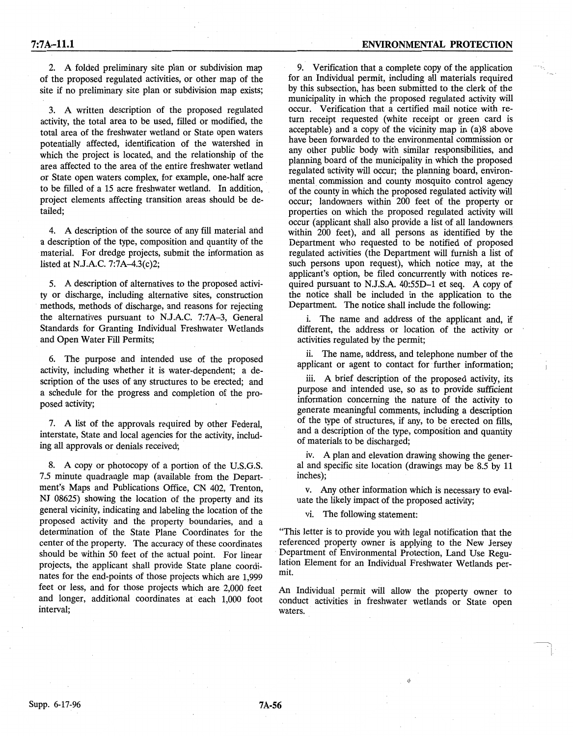2. A folded preliminary site plan or subdivision map of the proposed regulated activities, or other map of the site if no preliminary site plan or subdivision map exists;

3. A written description of the proposed regulated activity, the total area to be used, filled or modified, the total area of the freshwater wetland or State open waters potentially affected, identification of the watershed in which the project is located, and the relationship of the area affected to the area of the entire freshwater wetland or State open waters complex, for example, one-half acre to be filled of a 15 acre freshwater wetland. In addition, project elements affecting transition areas should be detailed;

4. A description of the source of any fill material and a description of the type, composition and quantity of the material. For dredge projects, submit the information as listed at N.J.A.C. 7:7A-4.3(c)2;

5. A description of alternatives to the proposed activity or discharge, including alternative sites, construction methods, methods of discharge, and reasons for rejecting the alternatives pursuant to N.J.A.C. 7:7A-3, General Standards for Granting Individual Freshwater Wetlands and Open Water Fill Permits;

6. The purpose and intended use of the proposed activity, including whether it is water-dependent; a description of the uses of any structures to be erected; and a schedule for the progress and completion of the proposed activity;

7. A list of the approvals required by other Federal, interstate, State and local agencies for the activity, including all approvals or denials received;

8. A copy or photocopy of a portion of the U.S.G.S. 7.5 minute quadrangle map (available from the Department's Maps and Publications Office, CN 402, Trenton, NJ 08625) showing the location of the property and its general vicinity, indicating and labeling the location of the proposed activity and the property boundaries, and a determination of the State Plane Coordinates for the center of the property. The accuracy of these coordinates should be within 50 feet of the actual point. For linear projects, the applicant shall provide State plane coordinates for the end-points of those projects which are 1,999 feet or less, and for those projects which are 2,000 feet and longer, additional coordinates at each 1,000 foot interval;

9. Verification that a complete copy of the application for an Individual permit, including all materials required by this subsection, has been submitted to the clerk of the municipality in which the proposed regulated activity will occur. Verification that a certified mail notice with return receipt requested (white receipt or green card is acceptable) and a copy of the vicinity map in (a)8 above have been forwarded to the environmental commission or any other public body with similar responsibilities, and planning board of the municipality in which the proposed regulated activity will occur; the planning board, environmental commission and county mosquito control agency of the county in which the proposed regulated activity will occur; landowners within 200 feet of the property or properties on which the proposed regulated activity will occur (applicant shall also provide a list of all landowners within 200 feet), and all persons as identified by the Department who requested to be notified of proposed regulated activities (the Department will furnish a list of such persons upon request), which notice may, at the applicant's option, be filed concurrently with notices required pursuant to N.J.S.A. 40:55D-1 et seq. A copy of the notice shall be included in the application to the Department. The notice shall include the following:

i. The name and address of the applicant and, if different, the address or location of the activity or activities regulated by the permit;

ii. The name, address, and telephone number of the applicant or agent to contact for further information;

iii. A brief description of the proposed activity, its purpose and intended use, so as to provide sufficient information concerning the nature of the activity to generate meaningful comments, including a description of the type of structures, if any, to be erected on fills, and a description of the type, composition and quantity of materials to be discharged;

iv. A plan and elevation drawing showing the general and specific site location (drawings may be 8.5 by 11 inches);

v. Any other information which is necessary to evaluate the likely impact of the proposed activity;

vi. The following statement:

"This letter is to provide you with legal notification that the referenced property owner is applying to the New Jersey Department of Environmental Protection, Land Use Regulation Element for an Individual Freshwater Wetlands permit.

An Individual permit will allow the property owner to conduct activities in freshwater wetlands or State open waters.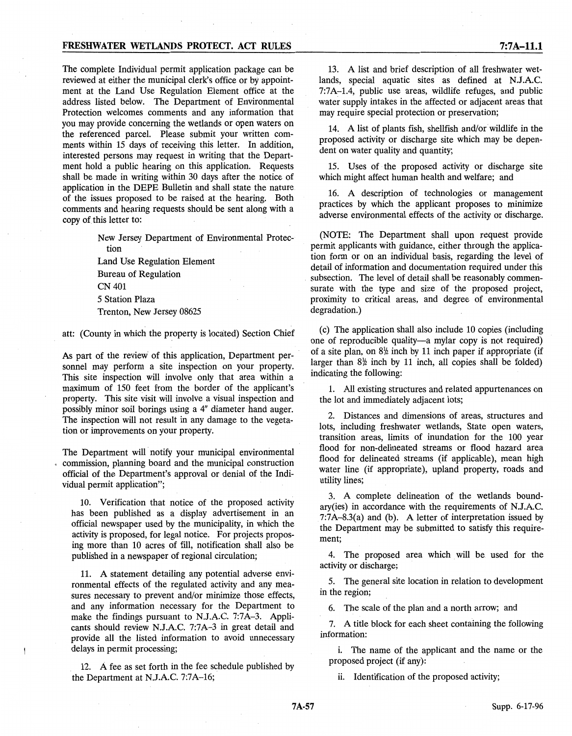## **FRESHWATER WETLANDS PROTECT. ACT RULES**

The complete Individual permit application package can be reviewed at either the municipal clerk's office or by appointment at the Land Use Regulation Element office at the address listed below. The Department of Environmental Protection welcomes comments and any information that you may provide concerning the wetlands or open waters on the referenced parcel. Please submit your written comments within 15 days of receiving this letter. In addition, interested persons may request in writing that the Department hold a public hearing on this application. Requests shall be made in writing within 30 days after the notice of application in the DEPE Bulletin and shall state the nature. of the issues proposed to be raised at the hearing. Both comments and hearing requests should be sent along with a copy of this letter to:

> New Jersey Department of Environmental Protection Land Use Regulation Element

Bureau of Regulation CN401 5 Station Plaza Trenton, New Jersey 08625

att: (County in which the property is located) Section Chief

As part of the review of this application, Department personnel may perform a site inspection on your property. This site inspection will involve only that area within a maximum of 150 feet from the border of the applicant's property. This site visit will involve a visual inspection and possibly minor soil borings using a 4" diameter hand auger. The inspection will not result in any damage to the vegetation or improvements on your property.

The Department will notify your municipal environmental commission, planning board and the municipal construction official of the Department's approval or denial of the Individual permit application";

10. Verification that notice of the proposed activity has been published as a display advertisement in an official newspaper used by the municipality, in which the activity is proposed, for legal notice. For projects proposing more than 10 acres of fill, notification shall also be published in a newspaper of regional circulation;

11. A statement detailing any potential adverse environmental effects of the regulated activity and any measures necessary to prevent and/or minimize those effects, and any information necessary for the Department to make the findings pursuant to N.J.A.C. 7:7A-3. Applicants should review N.J.A.C. 7:7A-3 in great detail and provide all the listed information to avoid unnecessary delays in permit processing;

12. A fee as set forth in the fee schedule published by the Department at N.J.A.C. 7:7A-16;

13. A list and brief description of all freshwater wetlands, special aquatic sites as defined at N.J.A.C. 7:7A--1.4, public use areas, wildlife refuges, and public water supply intakes in the affected or adjacent areas that may require special protection or preservation;

14. A list of plants fish, shellfish and/or wildlife in the proposed activity or discharge site which may be dependent on water quality and quantity;

15. Uses of the proposed activity or discharge site which might affect human health and welfare; and

16. A description of technologies or management practices by which the applicant proposes to minimize adverse environmental effects of the activity or discharge.

(NOTE: The Department shall upon request provide permit applicants with guidance, either through the application form or on an individual basis, regarding the level of detail of information and documentation required under this subsection. The level of detail shall be reasonably commensurate with the type and size of the proposed project, proximity to critical areas, and degree of environmental degradation.)

(c) The application shall also include 10 copies (including one of reproducible quality-a mylar copy is not required) of a site plan, on  $8\frac{1}{2}$  inch by 11 inch paper if appropriate (if larger than  $8\frac{1}{2}$  inch by 11 inch, all copies shall be folded) indicating the following:

1. All existing structures and related appurtenances on the lot and immediately adjacent lots;

2. Distances and dimensions of areas, structures and lots, including freshwater wetlands, State open waters, transition areas, limits of inundation for the 100 year flood for non-delineated streams or flood hazard area flood for delineated streams (if applicable), mean high water line (if appropriate), upland property, roads and utility lines;

3. A complete delineation of the wetlands boundary(ies) in accordance with the requirements of N.J.A.C. 7:7A-8.3(a) and (b). A letter of interpretation issued by the Department may be submitted to satisfy this requirement;

4. The proposed area which will be. used for the activity or discharge;

5. The general site location in relation to development in the region;

6. The scale of the plan and a north arrow; and

7. A title block for each sheet containing the following information:

i. The name of the applicant and the name or the proposed project (if any):

ii. Identification of the proposed activity;